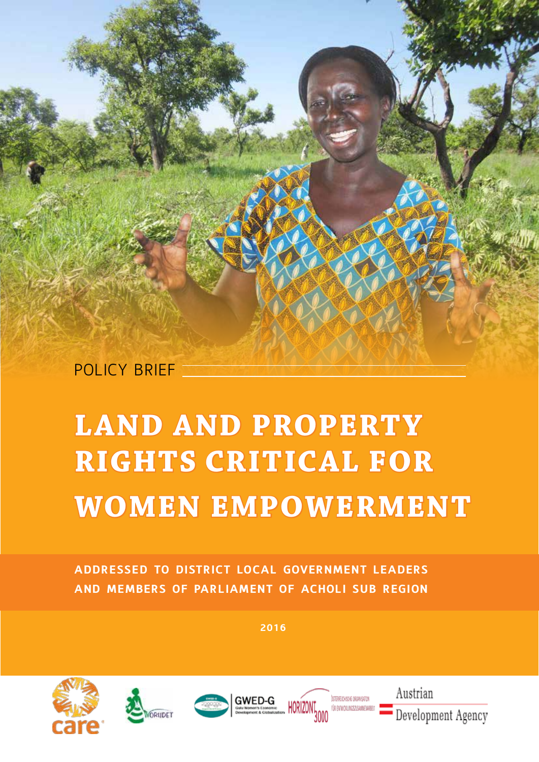POLICY BRIEF

# **LAND AND PROPERTY RIGHTS CRITICAL FOR WOMEN EMPOWERMENT**

**addressed to district local government leaders and members of parliament of acholi sub region**

**2016**









Austrian Development Agency

**IN ENTAILMENT INCOMENDATION**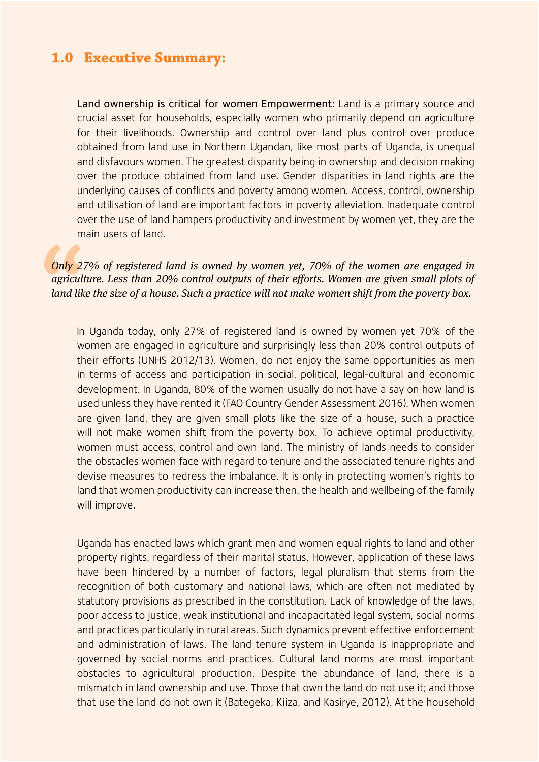## **1.0 Executive Summary:**

Land ownership is critical for women Empowerment: Land is a primary source and crucial asset for households, especially women who primarily depend on agriculture for their livelihoods. Ownership and control over land plus control over produce obtained from land use in Northern Ugandan, like most parts of Uganda, is unequal and disfavours women. The greatest disparity being in ownership and decision making over the produce obtained from land use. Gender disparities in land rights are the underlying causes of conflicts and poverty among women. Access, control, ownership and utilisation of land are important factors in poverty alleviation. Inadequate control over the use of land hampers productivity and investment by women yet, they are the main users of land.

#### *Only 27% of registered land is owned by women yet, 70% of the women are engaged in agriculture. Less than 20% control outputs of their efforts. Women are given small plots of land like the size of a house. Such a practice will not make women shift from the poverty box.*

In Uganda today, only 27% of registered land is owned by women yet 70% of the women are engaged in agriculture and surprisingly less than 20% control outputs of their efforts (UNHS 2012/13). Women, do not enjoy the same opportunities as men in terms of access and participation in social, political, legal-cultural and economic development. In Uganda, 80% of the women usually do not have a say on how land is used unless they have rented it (FAO Country Gender Assessment 2016). When women are given land, they are given small plots like the size of a house, such a practice will not make women shift from the poverty box. To achieve optimal productivity, women must access, control and own land. The ministry of lands needs to consider the obstacles women face with regard to tenure and the associated tenure rights and devise measures to redress the imbalance. It is only in protecting women's rights to land that women productivity can increase then, the health and wellbeing of the family will improve.

Uganda has enacted laws which grant men and women equal rights to land and other property rights, regardless of their marital status. However, application of these laws have been hindered by a number of factors, legal pluralism that stems from the recognition of both customary and national laws, which are often not mediated by statutory provisions as prescribed in the constitution. Lack of knowledge of the laws, poor access to justice, weak institutional and incapacitated legal system, social norms and practices particularly in rural areas. Such dynamics prevent effective enforcement and administration of laws. The land tenure system in Uganda is inappropriate and governed by social norms and practices. Cultural land norms are most important obstacles to agricultural production. Despite the abundance of land, there is a mismatch in land ownership and use. Those that own the land do not use it; and those that use the land do not own it (Bategeka, Kiiza, and Kasirye, 2012). At the household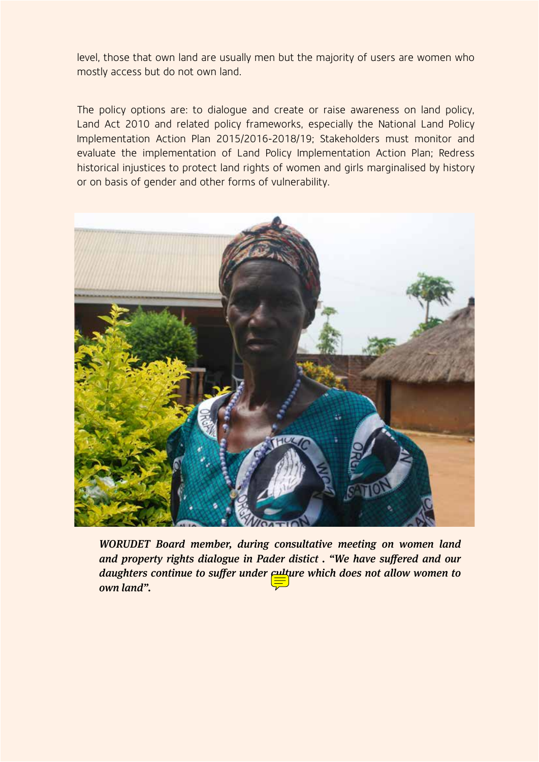level, those that own land are usually men but the majority of users are women who mostly access but do not own land.

The policy options are: to dialogue and create or raise awareness on land policy, Land Act 2010 and related policy frameworks, especially the National Land Policy Implementation Action Plan 2015/2016-2018/19; Stakeholders must monitor and evaluate the implementation of Land Policy Implementation Action Plan; Redress historical injustices to protect land rights of women and girls marginalised by history or on basis of gender and other forms of vulnerability.



*WORUDET Board member, during consultative meeting on women land and property rights dialogue in Pader distict . "We have suffered and our daughters continue to suffer under*  $\frac{1}{2}$  *ture which does not allow women to own land".*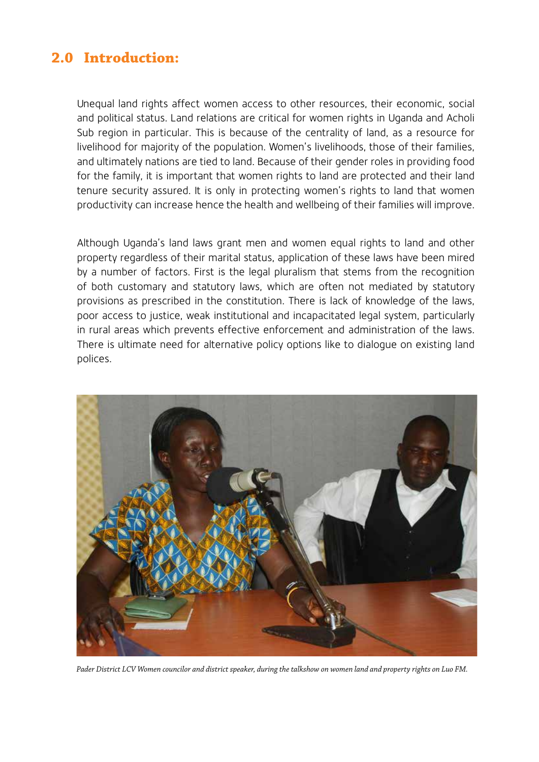## **2.0 Introduction:**

Unequal land rights affect women access to other resources, their economic, social and political status. Land relations are critical for women rights in Uganda and Acholi Sub region in particular. This is because of the centrality of land, as a resource for livelihood for majority of the population. Women's livelihoods, those of their families, and ultimately nations are tied to land. Because of their gender roles in providing food for the family, it is important that women rights to land are protected and their land tenure security assured. It is only in protecting women's rights to land that women productivity can increase hence the health and wellbeing of their families will improve.

Although Uganda's land laws grant men and women equal rights to land and other property regardless of their marital status, application of these laws have been mired by a number of factors. First is the legal pluralism that stems from the recognition of both customary and statutory laws, which are often not mediated by statutory provisions as prescribed in the constitution. There is lack of knowledge of the laws, poor access to justice, weak institutional and incapacitated legal system, particularly in rural areas which prevents effective enforcement and administration of the laws. There is ultimate need for alternative policy options like to dialogue on existing land polices.



*Pader District LCV Women councilor and district speaker, during the talkshow on women land and property rights on Luo FM.*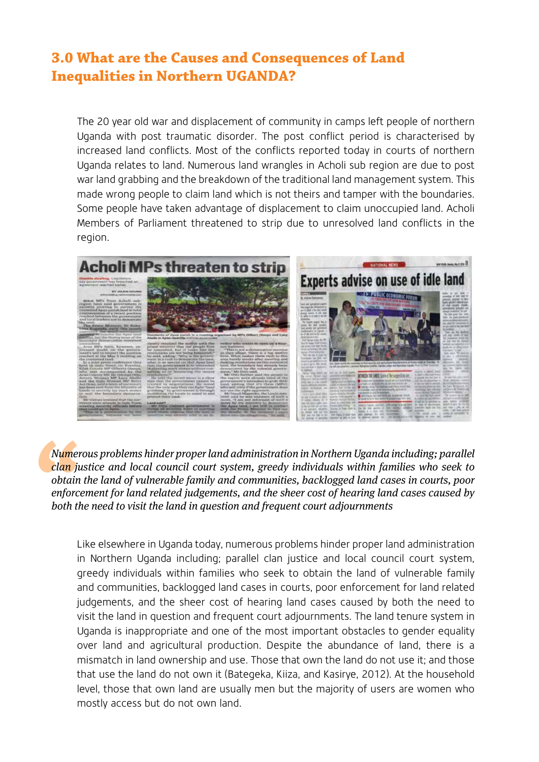# **3.0 What are the Causes and Consequences of Land Inequalities in Northern UGANDA?**

The 20 year old war and displacement of community in camps left people of northern Uganda with post traumatic disorder. The post conflict period is characterised by increased land conflicts. Most of the conflicts reported today in courts of northern Uganda relates to land. Numerous land wrangles in Acholi sub region are due to post war land grabbing and the breakdown of the traditional land management system. This made wrong people to claim land which is not theirs and tamper with the boundaries. Some people have taken advantage of displacement to claim unoccupied land. Acholi Members of Parliament threatened to strip due to unresolved land conflicts in the region.



*Numerous problems hinder proper land administration in Northern Uganda including; parallel clan justice and local council court system, greedy individuals within families who seek to obtain the land of vulnerable family and communities, backlogged land cases in courts, poor enforcement for land related judgements, and the sheer cost of hearing land cases caused by both the need to visit the land in question and frequent court adjournments*

Like elsewhere in Uganda today, numerous problems hinder proper land administration in Northern Uganda including; parallel clan justice and local council court system, greedy individuals within families who seek to obtain the land of vulnerable family and communities, backlogged land cases in courts, poor enforcement for land related judgements, and the sheer cost of hearing land cases caused by both the need to visit the land in question and frequent court adjournments. The land tenure system in Uganda is inappropriate and one of the most important obstacles to gender equality over land and agricultural production. Despite the abundance of land, there is a mismatch in land ownership and use. Those that own the land do not use it; and those that use the land do not own it (Bategeka, Kiiza, and Kasirye, 2012). At the household level, those that own land are usually men but the majority of users are women who mostly access but do not own land.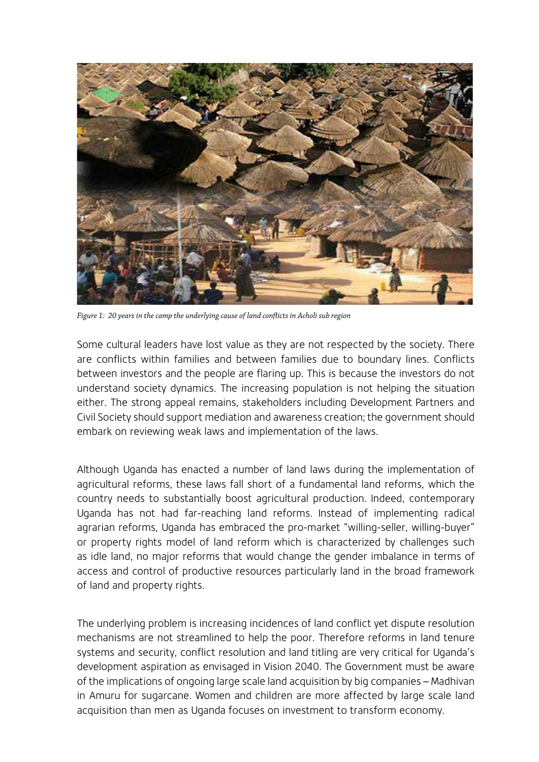

*Figure 1: 20 years in the camp the underlying cause of land conflicts in Acholi sub region*

Some cultural leaders have lost value as they are not respected by the society. There are conflicts within families and between families due to boundary lines. Conflicts between investors and the people are flaring up. This is because the investors do not understand society dynamics. The increasing population is not helping the situation either. The strong appeal remains, stakeholders including Development Partners and Civil Society should support mediation and awareness creation; the government should embark on reviewing weak laws and implementation of the laws.

Although Uganda has enacted a number of land laws during the implementation of agricultural reforms, these laws fall short of a fundamental land reforms, which the country needs to substantially boost agricultural production. Indeed, contemporary Uganda has not had far-reaching land reforms. Instead of implementing radical agrarian reforms, Uganda has embraced the pro-market "willing-seller, willing-buyer" or property rights model of land reform which is characterized by challenges such as idle land, no major reforms that would change the gender imbalance in terms of access and control of productive resources particularly land in the broad framework of land and property rights.

The underlying problem is increasing incidences of land conflict yet dispute resolution mechanisms are not streamlined to help the poor. Therefore reforms in land tenure systems and security, conflict resolution and land titling are very critical for Uganda's development aspiration as envisaged in Vision 2040. The Government must be aware of the implications of ongoing large scale land acquisition by big companies – Madhivan in Amuru for sugarcane. Women and children are more affected by large scale land acquisition than men as Uganda focuses on investment to transform economy.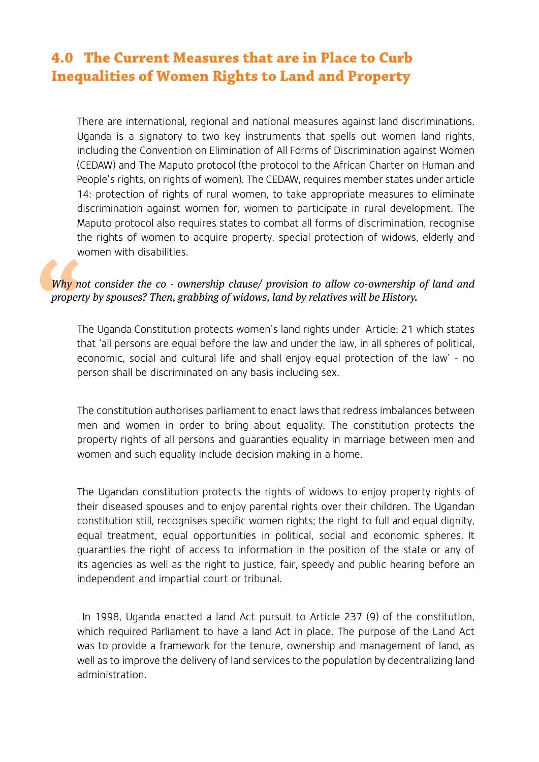# **4.0 The Current Measures that are in Place to Curb Inequalities of Women Rights to Land and Property**

There are international, regional and national measures against land discriminations. Uganda is a signatory to two key instruments that spells out women land rights, including the Convention on Elimination of All Forms of Discrimination against Women (CEDAW) and The Maputo protocol (the protocol to the African Charter on Human and People's rights, on rights of women). The CEDAW, requires member states under article 14: protection of rights of rural women, to take appropriate measures to eliminate discrimination against women for, women to participate in rural development. The Maputo protocol also requires states to combat all forms of discrimination, recognise the rights of women to acquire property, special protection of widows, elderly and women with disabilities.

#### *Why not consider the co - ownership clause/ provision to allow co-ownership of land and property by spouses? Then, grabbing of widows, land by relatives will be History.*

The Uganda Constitution protects women's land rights under Article: 21 which states that 'all persons are equal before the law and under the law, in all spheres of political, economic, social and cultural life and shall enjoy equal protection of the law' - no person shall be discriminated on any basis including sex.

The constitution authorises parliament to enact laws that redress imbalances between men and women in order to bring about equality. The constitution protects the property rights of all persons and guaranties equality in marriage between men and women and such equality include decision making in a home.

The Ugandan constitution protects the rights of widows to enjoy property rights of their diseased spouses and to enjoy parental rights over their children. The Ugandan constitution still, recognises specific women rights; the right to full and equal dignity, equal treatment, equal opportunities in political, social and economic spheres. It guaranties the right of access to information in the position of the state or any of its agencies as well as the right to justice, fair, speedy and public hearing before an independent and impartial court or tribunal.

. In 1998, Uganda enacted a land Act pursuit to Article 237 (9) of the constitution, which required Parliament to have a land Act in place. The purpose of the Land Act was to provide a framework for the tenure, ownership and management of land, as well as to improve the delivery of land services to the population by decentralizing land administration.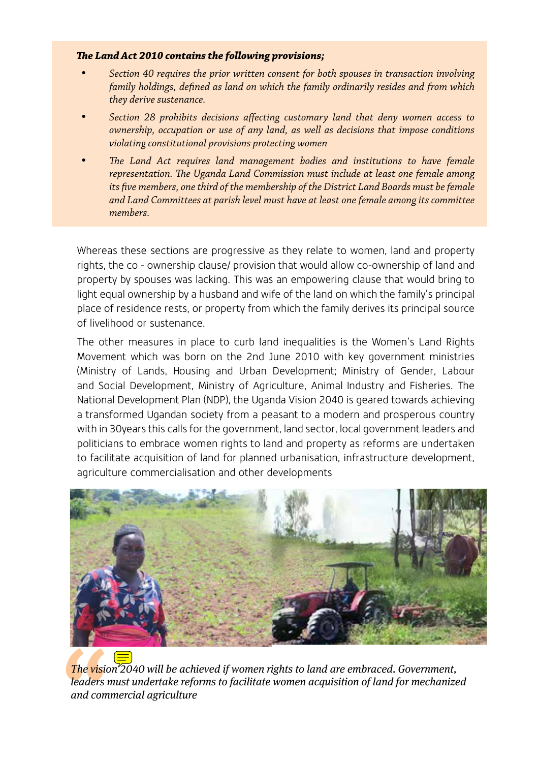#### *The Land Act 2010 contains the following provisions;*

- Section 40 requires the prior written consent for both spouses in transaction involving *family holdings, defined as land on which the family ordinarily resides and from which they derive sustenance.*
- Section 28 prohibits decisions affecting customary land that deny women access to *ownership, occupation or use of any land, as well as decisions that impose conditions violating constitutional provisions protecting women*
- The Land Act requires land management bodies and institutions to have female *representation. The Uganda Land Commission must include at least one female among its five members, one third of the membership of the District Land Boards must be female and Land Committees at parish level must have at least one female among its committee members.*

Whereas these sections are progressive as they relate to women, land and property rights, the co - ownership clause/ provision that would allow co-ownership of land and property by spouses was lacking. This was an empowering clause that would bring to light equal ownership by a husband and wife of the land on which the family's principal place of residence rests, or property from which the family derives its principal source of livelihood or sustenance.

The other measures in place to curb land inequalities is the Women's Land Rights Movement which was born on the 2nd June 2010 with key government ministries (Ministry of Lands, Housing and Urban Development; Ministry of Gender, Labour and Social Development, Ministry of Agriculture, Animal Industry and Fisheries. The National Development Plan (NDP), the Uganda Vision 2040 is geared towards achieving a transformed Ugandan society from a peasant to a modern and prosperous country with in 30years this calls for the government, land sector, local government leaders and politicians to embrace women rights to land and property as reforms are undertaken to facilitate acquisition of land for planned urbanisation, infrastructure development, agriculture commercialisation and other developments



*The vision 2040 will be achieved if women rights to land are embraced. Government, leaders must undertake reforms to facilitate women acquisition of land for mechanized and commercial agriculture*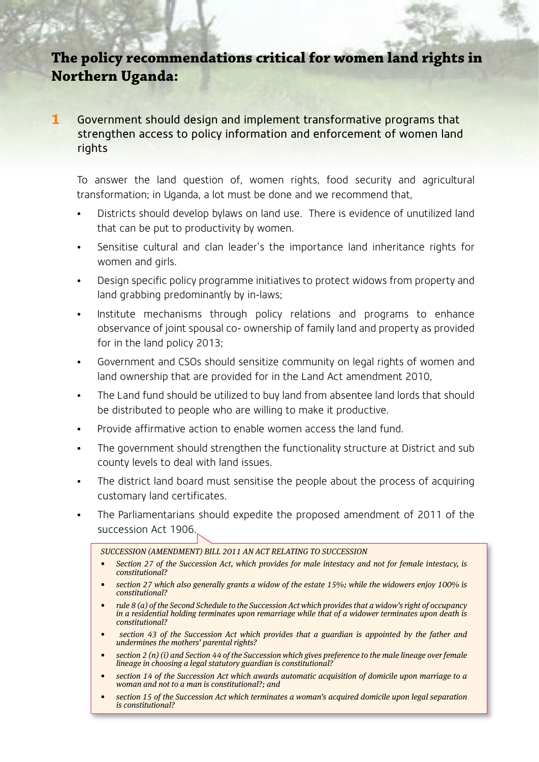# **The policy recommendations critical for women land rights in Northern Uganda:**

**1** Government should design and implement transformative programs that strengthen access to policy information and enforcement of women land rights

To answer the land question of, women rights, food security and agricultural transformation; in Uganda, a lot must be done and we recommend that,

- Districts should develop bylaws on land use. There is evidence of unutilized land that can be put to productivity by women.
- Sensitise cultural and clan leader's the importance land inheritance rights for women and girls.
- Design specific policy programme initiatives to protect widows from property and land grabbing predominantly by in-laws;
- Institute mechanisms through policy relations and programs to enhance observance of joint spousal co- ownership of family land and property as provided for in the land policy 2013;
- Government and CSOs should sensitize community on legal rights of women and land ownership that are provided for in the Land Act amendment 2010,
- The Land fund should be utilized to buy land from absentee land lords that should be distributed to people who are willing to make it productive.
- Provide affirmative action to enable women access the land fund.
- The government should strengthen the functionality structure at District and sub county levels to deal with land issues.
- The district land board must sensitise the people about the process of acquiring customary land certificates.
- The Parliamentarians should expedite the proposed amendment of 2011 of the succession Act 1906.

*SUCCESSION (AMENDMENT) BILL 2011 AN ACT RELATING TO SUCCESSION*

- *• Section 27 of the Succession Act, which provides for male intestacy and not for female intestacy, is constitutional?*
- *section 27 which also generally grants a widow of the estate 15%; while the widowers enjoy 100% is constitutional?*
- *rule 8 (a) of the Second Schedule to the Succession Act which provides that a widow's right of occupancy in a residential holding terminates upon remarriage while that of a widower terminates upon death is constitutional?*
- *section 43 of the Succession Act which provides that a guardian is appointed by the father and undermines the mothers' parental rights?*
- *section 2 (n) (i) and Section 44 of the Succession which gives preference to the male lineage over female lineage in choosing a legal statutory guardian is constitutional?*
- *section 14 of the Succession Act which awards automatic acquisition of domicile upon marriage to a woman and not to a man is constitutional?; and*
- *section 15 of the Succession Act which terminates a woman's acquired domicile upon legal separation is constitutional?*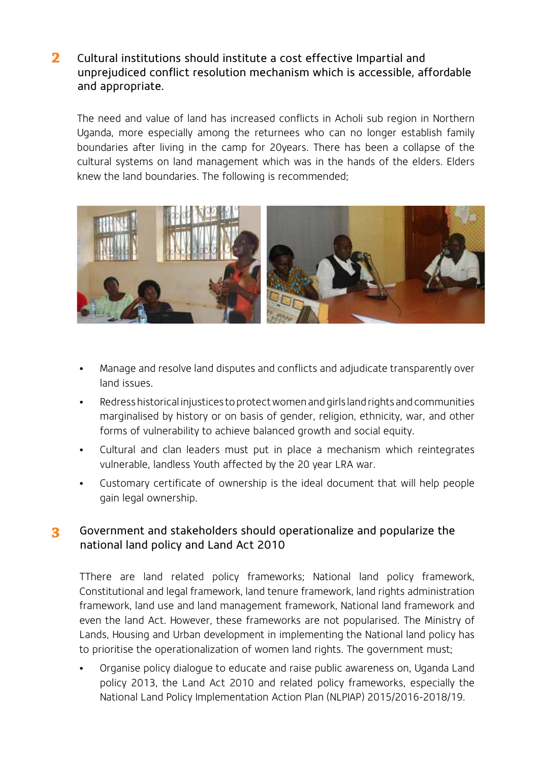Cultural institutions should institute a cost effective Impartial and unprejudiced conflict resolution mechanism which is accessible, affordable and appropriate. **2**

The need and value of land has increased conflicts in Acholi sub region in Northern Uganda, more especially among the returnees who can no longer establish family boundaries after living in the camp for 20years. There has been a collapse of the cultural systems on land management which was in the hands of the elders. Elders knew the land boundaries. The following is recommended;



- Manage and resolve land disputes and conflicts and adjudicate transparently over land issues.
- Redress historical injustices to protect women and girls land rights and communities marginalised by history or on basis of gender, religion, ethnicity, war, and other forms of vulnerability to achieve balanced growth and social equity.
- Cultural and clan leaders must put in place a mechanism which reintegrates vulnerable, landless Youth affected by the 20 year LRA war.
- Customary certificate of ownership is the ideal document that will help people gain legal ownership.

#### **3** Government and stakeholders should operationalize and popularize the national land policy and Land Act 2010

TThere are land related policy frameworks; National land policy framework, Constitutional and legal framework, land tenure framework, land rights administration framework, land use and land management framework, National land framework and even the land Act. However, these frameworks are not popularised. The Ministry of Lands, Housing and Urban development in implementing the National land policy has to prioritise the operationalization of women land rights. The government must;

• Organise policy dialogue to educate and raise public awareness on, Uganda Land policy 2013, the Land Act 2010 and related policy frameworks, especially the National Land Policy Implementation Action Plan (NLPIAP) 2015/2016-2018/19.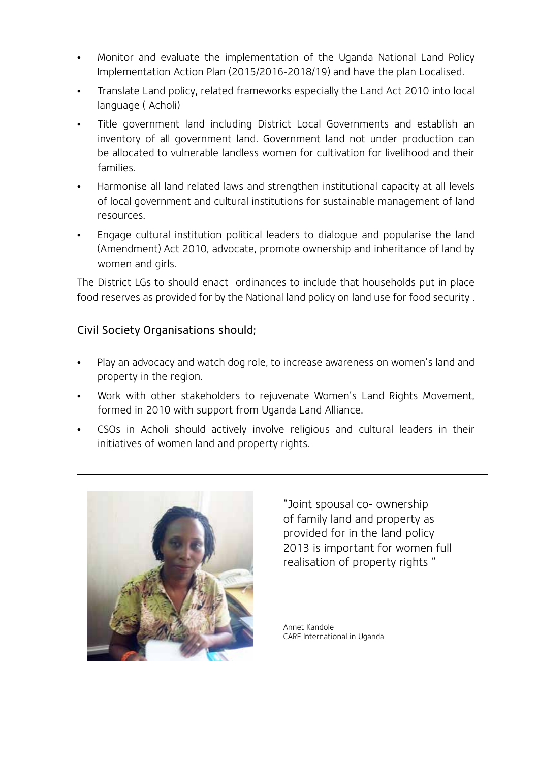- Monitor and evaluate the implementation of the Uganda National Land Policy Implementation Action Plan (2015/2016-2018/19) and have the plan Localised.
- Translate Land policy, related frameworks especially the Land Act 2010 into local language ( Acholi)
- Title government land including District Local Governments and establish an inventory of all government land. Government land not under production can be allocated to vulnerable landless women for cultivation for livelihood and their families.
- Harmonise all land related laws and strengthen institutional capacity at all levels of local government and cultural institutions for sustainable management of land resources.
- Engage cultural institution political leaders to dialogue and popularise the land (Amendment) Act 2010, advocate, promote ownership and inheritance of land by women and girls.

The District LGs to should enact ordinances to include that households put in place food reserves as provided for by the National land policy on land use for food security .

### Civil Society Organisations should;

- Play an advocacy and watch dog role, to increase awareness on women's land and property in the region.
- Work with other stakeholders to rejuvenate Women's Land Rights Movement, formed in 2010 with support from Uganda Land Alliance.
- CSOs in Acholi should actively involve religious and cultural leaders in their initiatives of women land and property rights.



"Joint spousal co- ownership of family land and property as provided for in the land policy 2013 is important for women full realisation of property rights "

Annet Kandole CARE International in Uganda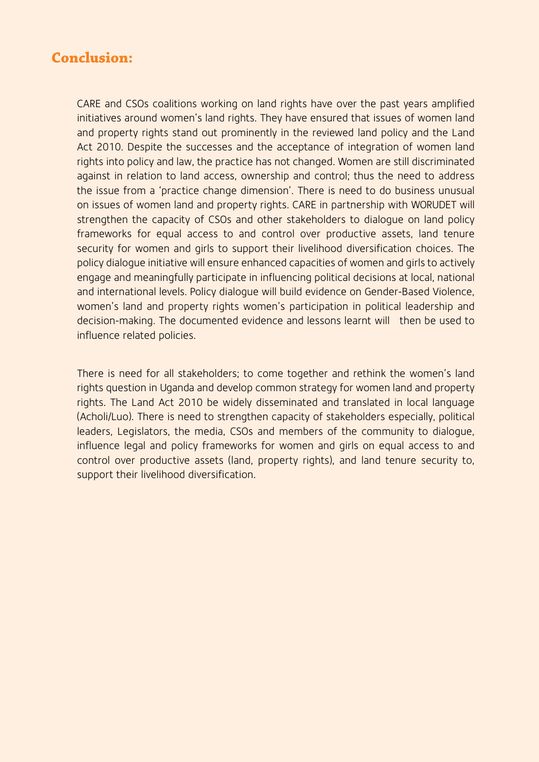## **Conclusion:**

CARE and CSOs coalitions working on land rights have over the past years amplified initiatives around women's land rights. They have ensured that issues of women land and property rights stand out prominently in the reviewed land policy and the Land Act 2010. Despite the successes and the acceptance of integration of women land rights into policy and law, the practice has not changed. Women are still discriminated against in relation to land access, ownership and control; thus the need to address the issue from a 'practice change dimension'. There is need to do business unusual on issues of women land and property rights. CARE in partnership with WORUDET will strengthen the capacity of CSOs and other stakeholders to dialogue on land policy frameworks for equal access to and control over productive assets, land tenure security for women and girls to support their livelihood diversification choices. The policy dialogue initiative will ensure enhanced capacities of women and girls to actively engage and meaningfully participate in influencing political decisions at local, national and international levels. Policy dialogue will build evidence on Gender-Based Violence, women's land and property rights women's participation in political leadership and decision-making. The documented evidence and lessons learnt will then be used to influence related policies.

There is need for all stakeholders; to come together and rethink the women's land rights question in Uganda and develop common strategy for women land and property rights. The Land Act 2010 be widely disseminated and translated in local language (Acholi/Luo). There is need to strengthen capacity of stakeholders especially, political leaders, Legislators, the media, CSOs and members of the community to dialogue, influence legal and policy frameworks for women and girls on equal access to and control over productive assets (land, property rights), and land tenure security to, support their livelihood diversification.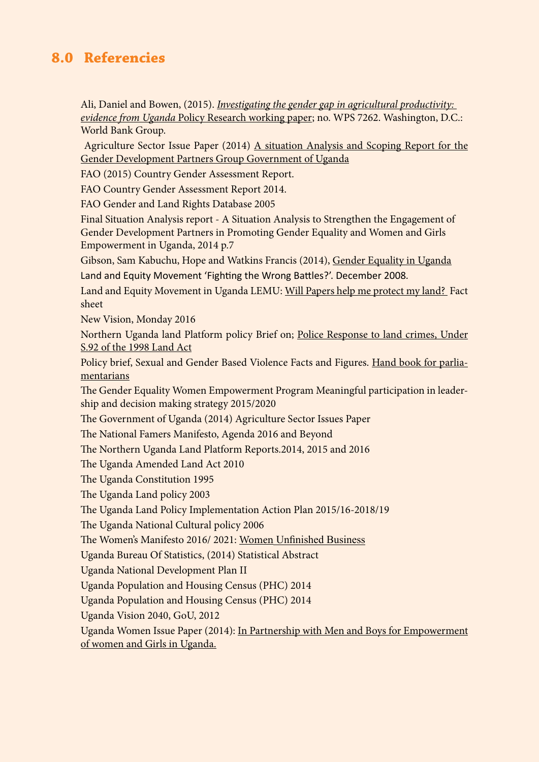## **8.0 Referencies**

Ali, Daniel and Bowen, (2015). *Investigating the gender gap in agricultural productivity: evidence from Uganda* Policy Research working paper; no. WPS 7262. Washington, D.C.: World Bank Group.

 Agriculture Sector Issue Paper (2014) A situation Analysis and Scoping Report for the Gender Development Partners Group Government of Uganda

FAO (2015) Country Gender Assessment Report.

FAO Country Gender Assessment Report 2014.

FAO Gender and Land Rights Database 2005

Final Situation Analysis report - A Situation Analysis to Strengthen the Engagement of Gender Development Partners in Promoting Gender Equality and Women and Girls Empowerment in Uganda, 2014 p.7

Gibson, Sam Kabuchu, Hope and Watkins Francis (2014), Gender Equality in Uganda

Land and Equity Movement 'Fighting the Wrong Battles?'. December 2008.

Land and Equity Movement in Uganda LEMU: Will Papers help me protect my land? Fact sheet

New Vision, Monday 2016

Northern Uganda land Platform policy Brief on; Police Response to land crimes, Under S.92 of the 1998 Land Act

Policy brief, Sexual and Gender Based Violence Facts and Figures. Hand book for parliamentarians

The Gender Equality Women Empowerment Program Meaningful participation in leadership and decision making strategy 2015/2020

The Government of Uganda (2014) Agriculture Sector Issues Paper

The National Famers Manifesto, Agenda 2016 and Beyond

The Northern Uganda Land Platform Reports.2014, 2015 and 2016

The Uganda Amended Land Act 2010

The Uganda Constitution 1995

The Uganda Land policy 2003

The Uganda Land Policy Implementation Action Plan 2015/16-2018/19

The Uganda National Cultural policy 2006

The Women's Manifesto 2016/ 2021: Women Unfinished Business

Uganda Bureau Of Statistics, (2014) Statistical Abstract

Uganda National Development Plan II

Uganda Population and Housing Census (PHC) 2014

Uganda Population and Housing Census (PHC) 2014

Uganda Vision 2040, GoU, 2012

Uganda Women Issue Paper (2014): In Partnership with Men and Boys for Empowerment of women and Girls in Uganda.